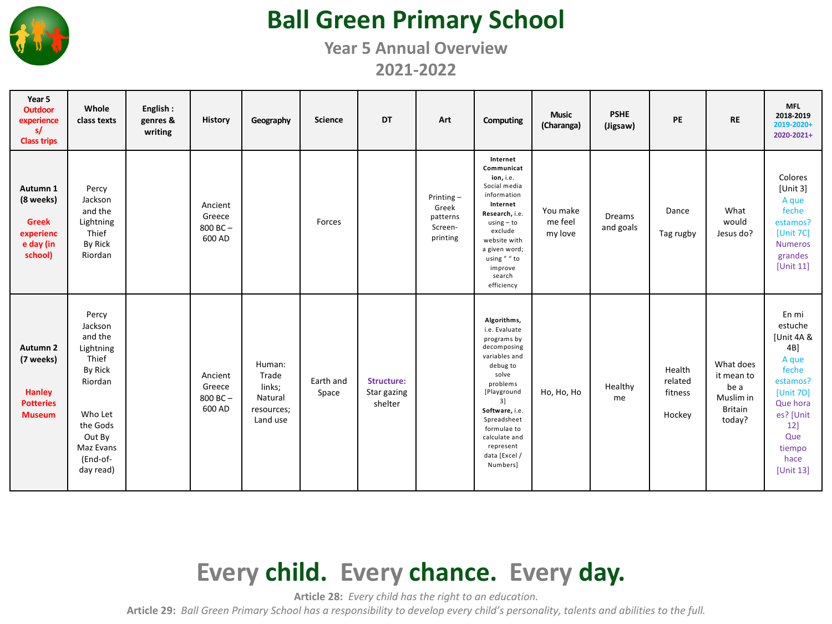

### **Ball Green Primary School**

**Year 5 Annual Overview**

**2021-2022**

| Year 5<br><b>Outdoor</b><br>experience<br>s/<br><b>Class trips</b>                     | Whole<br>class texts                                                                                                                           | English:<br>genres &<br>writing | <b>History</b>                              | Geography                                                      | <b>Science</b>     | <b>DT</b>                            | Art                                                      | Computing                                                                                                                                                                                                                                    | <b>Music</b><br>(Charanga)     | <b>PSHE</b><br>(Jigsaw)    | PE                                     | <b>RE</b>                                                                | <b>MFL</b><br>2018-2019<br>2019-2020+<br>2020-2021+                                                                                                    |
|----------------------------------------------------------------------------------------|------------------------------------------------------------------------------------------------------------------------------------------------|---------------------------------|---------------------------------------------|----------------------------------------------------------------|--------------------|--------------------------------------|----------------------------------------------------------|----------------------------------------------------------------------------------------------------------------------------------------------------------------------------------------------------------------------------------------------|--------------------------------|----------------------------|----------------------------------------|--------------------------------------------------------------------------|--------------------------------------------------------------------------------------------------------------------------------------------------------|
| Autumn 1<br>(8 weeks)<br><b>Greek</b><br>experienc<br>e day (in<br>school)             | Percy<br>Jackson<br>and the<br>Lightning<br>Thief<br>By Rick<br>Riordan                                                                        |                                 | Ancient<br>Greece<br>800 BC-<br>600 AD      |                                                                | Forces             |                                      | Printing $-$<br>Greek<br>patterns<br>Screen-<br>printing | Internet<br>Communicat<br>ion, i.e.<br>Social media<br>information<br>Internet<br>Research, i.e.<br>$using - to$<br>exclude<br>website with<br>a given word;<br>using "" to<br>improve<br>search<br>efficiency                               | You make<br>me feel<br>my love | <b>Dreams</b><br>and goals | Dance<br>Tag rugby                     | What<br>would<br>Jesus do?                                               | Colores<br>[Unit 3]<br>A que<br>feche<br>estamos?<br>[Unit 7C]<br><b>Numeros</b><br>grandes<br>[Unit 11]                                               |
| Autumn <sub>2</sub><br>(7 weeks)<br><b>Hanley</b><br><b>Potteries</b><br><b>Museum</b> | Percy<br>Jackson<br>and the<br>Lightning<br>Thief<br>By Rick<br>Riordan<br>Who Let<br>the Gods<br>Out By<br>Maz Evans<br>(End-of-<br>day read) |                                 | Ancient<br>Greece<br>$800$ BC $-$<br>600 AD | Human:<br>Trade<br>links;<br>Natural<br>resources;<br>Land use | Earth and<br>Space | Structure:<br>Star gazing<br>shelter |                                                          | Algorithms,<br>i.e. Evaluate<br>programs by<br>decomposing<br>variables and<br>debug to<br>solve<br>problems<br>[Playground<br>3]<br>Software, i.e.<br>Spreadsheet<br>formulae to<br>calculate and<br>represent<br>data [Excel /<br>Numbers] | Ho, Ho, Ho                     | Healthy<br>me              | Health<br>related<br>fitness<br>Hockey | What does<br>it mean to<br>be a<br>Muslim in<br><b>Britain</b><br>today? | En mi<br>estuche<br>[Unit 4A &<br>4B]<br>A que<br>feche<br>estamos?<br>[Unit 7D]<br>Que hora<br>es? [Unit<br>12]<br>Que<br>tiempo<br>hace<br>[Unit 13] |

### **Every child. Every chance. Every day.**

**Article 28:** *Every child has the right to an education.*

**Article 29:** *Ball Green Primary School has a responsibility to develop every child's personality, talents and abilities to the full.*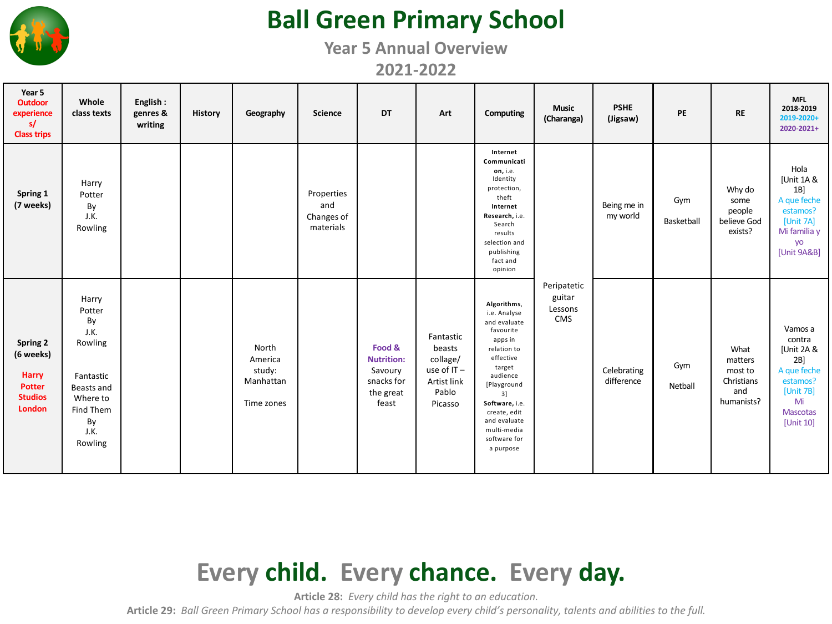

### **Ball Green Primary School**

**Year 5 Annual Overview**

**2021-2022**

| Year 5<br><b>Outdoor</b><br>experience<br>s/<br><b>Class trips</b>                 | Whole<br>class texts                                                                                                  | English:<br>genres &<br>writing | <b>History</b> | Geography                                             | <b>Science</b>                               | <b>DT</b>                                                                  | Art                                                                              | Computing                                                                                                                                                                                                                                | <b>Music</b><br>(Charanga)              | <b>PSHE</b><br>(Jigsaw)   | PE                | <b>RE</b>                                                     | <b>MFL</b><br>2018-2019<br>2019-2020+<br>2020-2021+                                                                     |
|------------------------------------------------------------------------------------|-----------------------------------------------------------------------------------------------------------------------|---------------------------------|----------------|-------------------------------------------------------|----------------------------------------------|----------------------------------------------------------------------------|----------------------------------------------------------------------------------|------------------------------------------------------------------------------------------------------------------------------------------------------------------------------------------------------------------------------------------|-----------------------------------------|---------------------------|-------------------|---------------------------------------------------------------|-------------------------------------------------------------------------------------------------------------------------|
| Spring 1<br>(7 weeks)                                                              | Harry<br>Potter<br>By<br>J.K.<br>Rowling                                                                              |                                 |                |                                                       | Properties<br>and<br>Changes of<br>materials |                                                                            |                                                                                  | Internet<br>Communicati<br>on, i.e.<br>Identity<br>protection,<br>theft<br>Internet<br>Research, i.e.<br>Search<br>results<br>selection and<br>publishing<br>fact and<br>opinion                                                         |                                         | Being me in<br>my world   | Gym<br>Basketball | Why do<br>some<br>people<br>believe God<br>exists?            | Hola<br>[Unit 1A &<br>1B<br>A que feche<br>estamos?<br>[Unit 7A]<br>Mi familia y<br>yo<br>[Unit 9A&B]                   |
| Spring 2<br>(6 weeks)<br><b>Harry</b><br><b>Potter</b><br><b>Studios</b><br>London | Harry<br>Potter<br>By<br>J.K.<br>Rowling<br>Fantastic<br>Beasts and<br>Where to<br>Find Them<br>By<br>J.K.<br>Rowling |                                 |                | North<br>America<br>study:<br>Manhattan<br>Time zones |                                              | Food &<br><b>Nutrition:</b><br>Savoury<br>snacks for<br>the great<br>feast | Fantastic<br>beasts<br>collage/<br>use of IT-<br>Artist link<br>Pablo<br>Picasso | Algorithms,<br>i.e. Analyse<br>and evaluate<br>favourite<br>apps in<br>relation to<br>effective<br>target<br>audience<br>[Playground<br>3]<br>Software, i.e.<br>create, edit<br>and evaluate<br>multi-media<br>software for<br>a purpose | Peripatetic<br>guitar<br>Lessons<br>CMS | Celebrating<br>difference | Gym<br>Netball    | What<br>matters<br>most to<br>Christians<br>and<br>humanists? | Vamos a<br>contra<br>[Unit 2A &<br>$2B$ ]<br>A que feche<br>estamos?<br>[Unit 7B]<br>Mi<br><b>Mascotas</b><br>[Unit 10] |

# **Every child. Every chance. Every day.**

**Article 28:** *Every child has the right to an education.*

**Article 29:** *Ball Green Primary School has a responsibility to develop every child's personality, talents and abilities to the full.*